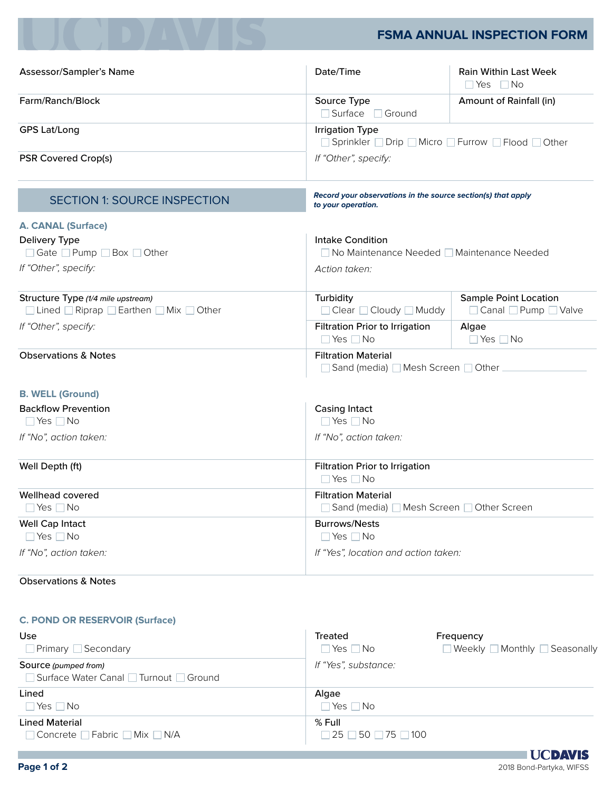# **FSMA ANNUAL INSPECTION FORM**

| Assessor/Sampler's Name                                                        | Date/Time                                              | <b>Rain Within Last Week</b><br>$\Box$ Yes $\Box$ No         |  |  |
|--------------------------------------------------------------------------------|--------------------------------------------------------|--------------------------------------------------------------|--|--|
| Farm/Ranch/Block                                                               | Source Type<br>□ Surface □ Ground                      | Amount of Rainfall (in)                                      |  |  |
| <b>GPS Lat/Long</b>                                                            | <b>Irrigation Type</b>                                 | □ Sprinkler □ Drip □ Micro □ Furrow □ Flood □ Other          |  |  |
| <b>PSR Covered Crop(s)</b>                                                     | If "Other", specify:                                   |                                                              |  |  |
| <b>SECTION 1: SOURCE INSPECTION</b>                                            | to your operation.                                     | Record your observations in the source section(s) that apply |  |  |
| <b>A. CANAL (Surface)</b>                                                      |                                                        |                                                              |  |  |
| Delivery Type<br>□ Gate □ Pump □ Box □ Other                                   | <b>Intake Condition</b>                                | □ No Maintenance Needed □ Maintenance Needed                 |  |  |
| If "Other", specify:                                                           | Action taken:                                          |                                                              |  |  |
| Structure Type (1/4 mile upstream)<br>□ Lined ■ Riprap ■ Earthen ■ Mix ■ Other | Turbidity<br>□ Clear □ Cloudy □ Muddy                  | <b>Sample Point Location</b><br>□ Canal □ Pump □ Valve       |  |  |
| If "Other", specify:                                                           | Filtration Prior to Irrigation<br>$\Box$ Yes $\Box$ No | Algae<br>$\Box$ Yes $\Box$ No                                |  |  |
| <b>Observations &amp; Notes</b>                                                | <b>Filtration Material</b>                             | Sand (media) ■ Mesh Screen ■ Other                           |  |  |
| <b>B. WELL (Ground)</b>                                                        |                                                        |                                                              |  |  |
| <b>Backflow Prevention</b><br>$\Box$ Yes $\Box$ No                             | <b>Casing Intact</b><br>$\Box$ Yes $\Box$ No           |                                                              |  |  |
| If "No", action taken:                                                         | If "No", action taken:                                 |                                                              |  |  |
| Well Depth (ft)                                                                | Filtration Prior to Irrigation<br>$\Box$ Yes $\Box$ No |                                                              |  |  |
| <b>Wellhead covered</b><br>$\Box$ Yes $\Box$ No                                | <b>Filtration Material</b>                             | Sand (media) ■ Mesh Screen ■ Other Screen                    |  |  |
| <b>Well Cap Intact</b><br>$\Box$ Yes $\Box$ No                                 | <b>Burrows/Nests</b><br>$\Box$ Yes $\Box$ No           |                                                              |  |  |
| If "No", action taken:                                                         |                                                        | If "Yes", location and action taken:                         |  |  |
|                                                                                |                                                        |                                                              |  |  |

## Observations & Notes

#### **C. POND OR RESERVOIR (Surface)**

| Use<br>$\Box$ Primary $\Box$ Secondary                           | Treated<br>$\Box$ Yes $\Box$ No                      | Frequency<br>$\Box$ Weekly $\Box$ Monthly $\Box$ Seasonally |
|------------------------------------------------------------------|------------------------------------------------------|-------------------------------------------------------------|
| Source (pumped from)<br>■ Surface Water Canal ■ Turnout ■ Ground | If "Yes", substance:                                 |                                                             |
| Lined<br>$\Box$ Yes $\Box$ No                                    | Algae<br>$\Box$ Yes $\Box$ No                        |                                                             |
| <b>Lined Material</b><br>□ Concrete □ Fabric □ Mix □ N/A         | $%$ Full<br>$\Box$ 25 $\Box$ 50 $\Box$ 75 $\Box$ 100 |                                                             |